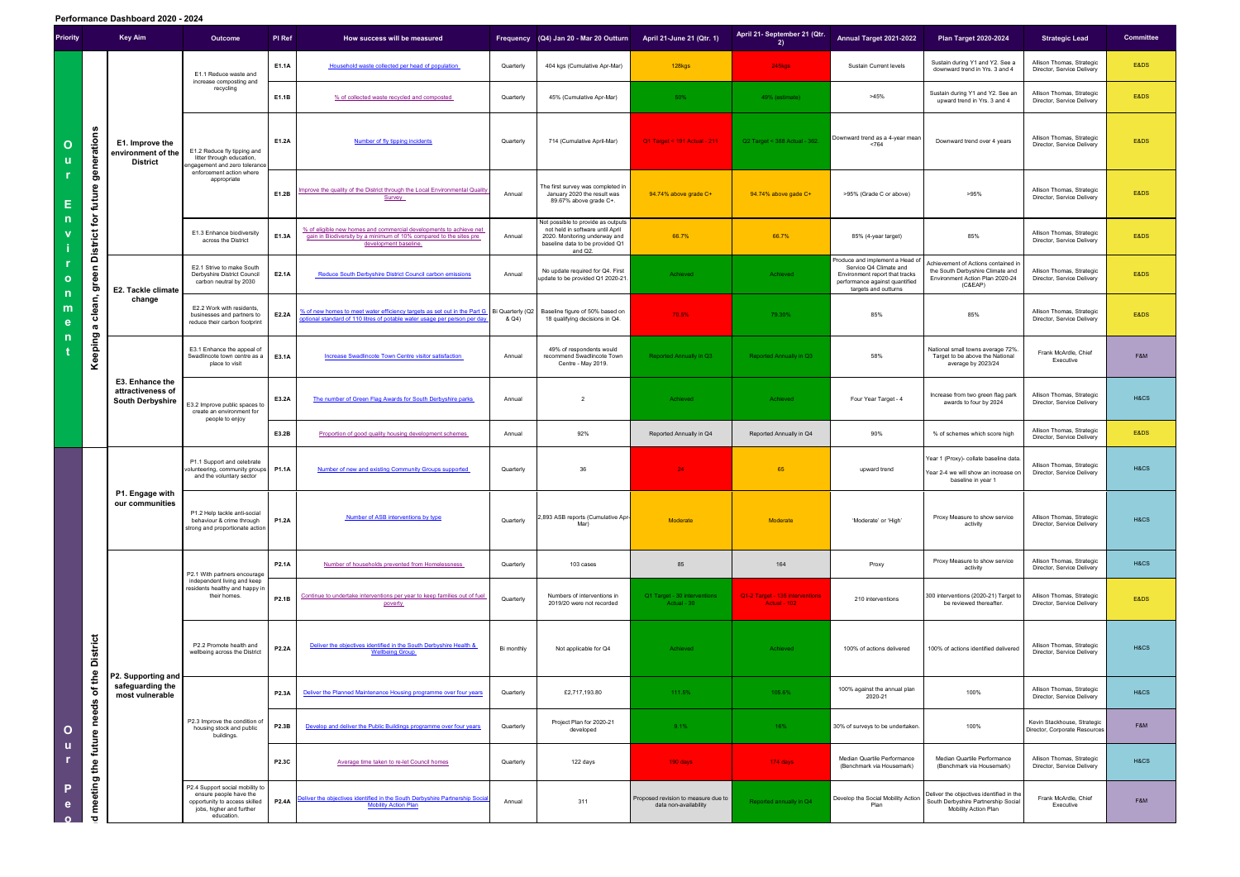**Performance Dashboard 2020 - 2024**

| <b>Priority</b>                                                   |                                                                                 | <b>Key Aim</b>                                                  | Outcome                                                                                                                              | PI Ref       | How success will be measured                                                                                                                                           |            | Frequency (Q4) Jan 20 - Mar 20 Outturn                                                                                                                | April 21-June 21 (Qtr. 1)                                    | April 21- September 21 (Qtr.<br>2)              | Annual Target 2021-2022                                                                                                                               | <b>Plan Target 2020-2024</b>                                                                                          | <b>Strategic Lead</b>                                        | <b>Committee</b> |
|-------------------------------------------------------------------|---------------------------------------------------------------------------------|-----------------------------------------------------------------|--------------------------------------------------------------------------------------------------------------------------------------|--------------|------------------------------------------------------------------------------------------------------------------------------------------------------------------------|------------|-------------------------------------------------------------------------------------------------------------------------------------------------------|--------------------------------------------------------------|-------------------------------------------------|-------------------------------------------------------------------------------------------------------------------------------------------------------|-----------------------------------------------------------------------------------------------------------------------|--------------------------------------------------------------|------------------|
| $\mathbf{o}$<br><b>U</b><br>Е<br>$\mathbf 0$<br>-n<br>m<br>e<br>n | generations<br>future<br>$\mathsf{for}$<br><b>District</b><br>green             | E1. Improve the<br>environment of the<br>District               | E1.1 Reduce waste and<br>increase composting and<br>recycling                                                                        | E1.1A        | Household waste collected per head of population                                                                                                                       | Quarterly  | 404 kgs (Cumulative Apr-Mar)                                                                                                                          | 128kgs                                                       | 245kgs                                          | Sustain Current levels                                                                                                                                | Sustain during Y1 and Y2. See a<br>downward trend in Yrs. 3 and 4                                                     | Allison Thomas, Strategic<br>Director, Service Delivery      | E&DS             |
|                                                                   |                                                                                 |                                                                 |                                                                                                                                      | E1.1B        | % of collected waste recycled and composted                                                                                                                            | Quarterly  | 45% (Cumulative Apr-Mar)                                                                                                                              | 50%                                                          | 49% (estimate)                                  | >45%                                                                                                                                                  | Sustain during Y1 and Y2. See an<br>upward trend in Yrs. 3 and 4                                                      | Allison Thomas, Strategic<br>Director, Service Delivery      | E&DS             |
|                                                                   |                                                                                 |                                                                 | E1.2 Reduce fly tipping and<br>litter through education,<br>ngagement and zero tolerance                                             | E1.2A        | Number of fly tipping incidents                                                                                                                                        | Quarterly  | 714 (Cumulative April-Mar)                                                                                                                            | Q1 Target < 191 Actual - 211                                 | Q2 Target < 388 Actual - 362.                   | Downward trend as a 4-year mean<br>< 764                                                                                                              | Downward trend over 4 years                                                                                           | Allison Thomas, Strategic<br>Director, Service Delivery      | E&DS             |
|                                                                   |                                                                                 |                                                                 | enforcement action where<br>appropriate                                                                                              | E1.2B        | mprove the quality of the District through the Local Environmental Quality<br>Survey                                                                                   | Annual     | The first survey was completed in<br>January 2020 the result was<br>89.67% above grade C+.                                                            | 94.74% above grade C+                                        | 94.74% above gade C+                            | >95% (Grade C or above)                                                                                                                               | >95%                                                                                                                  | Allison Thomas, Strategic<br>Director, Service Delivery      | E&DS             |
|                                                                   |                                                                                 |                                                                 | E1.3 Enhance biodiversity<br>across the District                                                                                     | E1.3A        | % of eligible new homes and commercial developments to achieve net<br>gain in Biodiversity by a minimum of 10% compared to the sites pre<br>development baseline.      | Annual     | Not possible to provide as outputs<br>not held in software until April<br>2020. Monitoring underway and<br>baseline data to be provided Q1<br>and Q2. | 66.7%                                                        | 66.7%                                           | 85% (4-year target)                                                                                                                                   | 85%                                                                                                                   | Allison Thomas, Strategic<br>Director, Service Delivery      | E&DS             |
|                                                                   |                                                                                 | E2. Tackle climate<br>change                                    | E2.1 Strive to make South<br>Derbyshire District Council<br>carbon neutral by 2030                                                   | E2.1A        | <b>Reduce South Derbyshire District Council carbon emissions</b>                                                                                                       | Annual     | No update required for Q4. First<br>update to be provided Q1 2020-21.                                                                                 | Achieved                                                     | Achieved                                        | Produce and implement a Head of<br>Service Q4 Climate and<br>Environment report that tracks<br>performance against quantified<br>targets and outturns | Achievement of Actions contained in<br>the South Derbyshire Climate and<br>Environment Action Plan 2020-24<br>(C&EAP) | Allison Thomas, Strategic<br>Director, Service Delivery      | E&DS             |
|                                                                   | clean,<br><b>G</b>                                                              |                                                                 | E2.2 Work with residents,<br>businesses and partners to<br>reduce their carbon footprint                                             | E2.2A        | 6 of new homes to meet water efficiency targets as set out in the Part G Bi Quarterly (Q2<br>optional standard of 110 litres of potable water usage per person per day | & Q4)      | Baseline figure of 50% based on<br>18 qualifying decisions in Q4.                                                                                     | 70.5%                                                        | 79.30%                                          | 85%                                                                                                                                                   | 85%                                                                                                                   | Allison Thomas, Strategic<br>Director, Service Delivery      | E&DS             |
|                                                                   | Keeping                                                                         | E3. Enhance the<br>attractiveness of<br><b>South Derbyshire</b> | E3.1 Enhance the appeal of<br>Swadlincote town centre as a<br>place to visit                                                         | E3.1A        | <b>Increase Swadlincote Town Centre visitor satisfaction</b>                                                                                                           | Annual     | 49% of respondents would<br>recommend Swadlincote Town<br>Centre - May 2019.                                                                          | Reported Annually in Q3                                      | <b>Reported Annually in Q3</b>                  | 58%                                                                                                                                                   | National small towns average 72%<br>Target to be above the National<br>average by 2023/24                             | Frank McArdle, Chief<br>Executive                            | F&M              |
|                                                                   |                                                                                 |                                                                 | E3.2 Improve public spaces to<br>create an environment for<br>people to enjoy                                                        | E3.2A        | The number of Green Flag Awards for South Derbyshire parks                                                                                                             | Annual     | $\overline{2}$                                                                                                                                        | Achieved                                                     | Achieved                                        | Four Year Target - 4                                                                                                                                  | Increase from two green flag park<br>awards to four by 2024                                                           | Allison Thomas, Strategic<br>Director, Service Delivery      | H&CS             |
|                                                                   |                                                                                 |                                                                 |                                                                                                                                      | E3.2B        | Proportion of good quality housing development schemes                                                                                                                 | Annual     | 92%                                                                                                                                                   | Reported Annually in Q4                                      | Reported Annually in Q4                         | 90%                                                                                                                                                   | % of schemes which score high                                                                                         | Allison Thomas, Strategic<br>Director, Service Delivery      | E&DS             |
| $\mathbf{o}$<br>u<br>P<br>e                                       | <b>District</b><br>needs of the<br>future<br>meeting the<br>$\overline{\sigma}$ | P1. Engage with<br>our communities                              | P1.1 Support and celebrate<br>volunteering, community groups<br>and the voluntary sector                                             | <b>P1.1A</b> | Number of new and existing Community Groups supported                                                                                                                  | Quarterly  | 36                                                                                                                                                    | 24                                                           | 65                                              | upward trend                                                                                                                                          | Year 1 (Proxy)- collate baseline data.<br>Year 2-4 we will show an increase or<br>baseline in year 1                  | Allison Thomas, Strategic<br>Director, Service Delivery      | H&CS             |
|                                                                   |                                                                                 |                                                                 | P1.2 Help tackle anti-social<br>behaviour & crime through<br>strong and proportionate action                                         | <b>P1.2A</b> | Number of ASB interventions by type                                                                                                                                    | Quarterly  | ,893 ASB reports (Cumulative Apr-<br>Mar)                                                                                                             | Moderate                                                     | <b>Moderate</b>                                 | 'Moderate' or 'High'                                                                                                                                  | Proxy Measure to show service<br>activity                                                                             | Allison Thomas, Strategic<br>Director, Service Delivery      | H&CS             |
|                                                                   |                                                                                 |                                                                 | P2.1 With partners encourage                                                                                                         | <b>P2.1A</b> | Number of households prevented from Homelessness                                                                                                                       | Quarterly  | 103 cases                                                                                                                                             | 85                                                           | 164                                             | Proxy                                                                                                                                                 | Proxy Measure to show service<br>activity                                                                             | Allison Thomas, Strategic<br>Director, Service Delivery      | H&CS             |
|                                                                   |                                                                                 | P2. Supporting and<br>safeguarding the<br>most vulnerable       | independent living and keep<br>residents healthy and happy in<br>their homes.                                                        | P2.1B        | Continue to undertake interventions per year to keep families out of fuel<br>poverty                                                                                   | Quarterly  | Numbers of interventions in<br>2019/20 were not recorded                                                                                              | Q1 Target - 30 interventions<br>Actual - 30                  | Q1-2 Target - 135 interventions<br>Actual - 102 | 210 interventions                                                                                                                                     | 300 interventions (2020-21) Target to<br>be reviewed thereafter.                                                      | Allison Thomas, Strategic<br>Director, Service Delivery      | E&DS             |
|                                                                   |                                                                                 |                                                                 | P2.2 Promote health and<br>wellbeing across the District                                                                             | P2.2A        | Deliver the objectives identified in the South Derbyshire Health &<br><b>Wellbeing Group</b>                                                                           | Bi monthly | Not applicable for Q4                                                                                                                                 | Achieved                                                     | Achieved                                        | 100% of actions delivered                                                                                                                             | 100% of actions identified delivered                                                                                  | Allison Thomas, Strategic<br>Director, Service Delivery      | H&CS             |
|                                                                   |                                                                                 |                                                                 | P2.3 Improve the condition of<br>housing stock and public<br>buildings.                                                              | <b>P2.3A</b> | Deliver the Planned Maintenance Housing programme over four years                                                                                                      | Quarterly  | £2,717,193.80                                                                                                                                         | 111.5%                                                       | 105.6%                                          | 100% against the annual plan<br>2020-21                                                                                                               | 100%                                                                                                                  | Allison Thomas, Strategic<br>Director, Service Delivery      | H&CS             |
|                                                                   |                                                                                 |                                                                 |                                                                                                                                      | P2.3B        | Develop and deliver the Public Buildings programme over four years                                                                                                     | Quarterly  | Project Plan for 2020-21<br>developed                                                                                                                 | 9.1%                                                         | 16%                                             | 30% of surveys to be undertaken.                                                                                                                      | 100%                                                                                                                  | Kevin Stackhouse, Strategic<br>Director, Corporate Resources | F&M              |
|                                                                   |                                                                                 |                                                                 |                                                                                                                                      | P2.3C        | Average time taken to re-let Council homes                                                                                                                             | Quarterly  | 122 days                                                                                                                                              | 190 days                                                     | 174 days                                        | Median Quartile Performance<br>(Benchmark via Housemark)                                                                                              | Median Quartile Performance<br>(Benchmark via Housemark)                                                              | Allison Thomas, Strategic<br>Director, Service Delivery      | H&CS             |
|                                                                   |                                                                                 |                                                                 | P2.4 Support social mobility to<br>ensure people have the<br>opportunity to access skilled<br>jobs, higher and further<br>education. | <b>P2.4A</b> | Deliver the objectives identified in the South Derbyshire Partnership Socia<br><b>Mobility Action Plan</b>                                                             | Annual     | 311                                                                                                                                                   | Proposed revision to measure due to<br>data non-availability | Reported annually in Q4                         | Develop the Social Mobility Action<br>Plan                                                                                                            | Deliver the objectives identified in the<br>South Derbyshire Partnership Social<br>Mobility Action Plan               | Frank McArdle, Chief<br>Executive                            | F&M              |
|                                                                   |                                                                                 |                                                                 |                                                                                                                                      |              |                                                                                                                                                                        |            |                                                                                                                                                       |                                                              |                                                 |                                                                                                                                                       |                                                                                                                       |                                                              |                  |